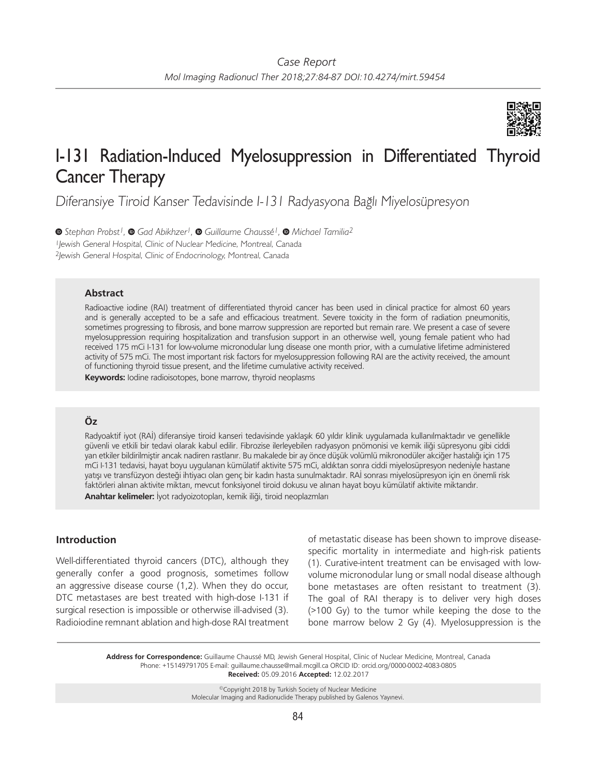

# I-131 Radiation-Induced Myelosuppression in Differentiated Thyroid Cancer Therapy

Diferansiye Tiroid Kanser Tedavisinde I-131 Radyasyona Bağlı Miyelosüpresyon

*Stephan Probst1,Gad Abikhzer1,Guillaume Chaussé1,Michael Tamilia2* <sup>1</sup>Jewish General Hospital, Clinic of Nuclear Medicine, Montreal, Canada <sup>2</sup>Jewish General Hospital, Clinic of Endocrinology, Montreal, Canada

## **Abstract**

Radioactive iodine (RAI) treatment of differentiated thyroid cancer has been used in clinical practice for almost 60 years and is generally accepted to be a safe and efficacious treatment. Severe toxicity in the form of radiation pneumonitis, sometimes progressing to fibrosis, and bone marrow suppression are reported but remain rare. We present a case of severe myelosuppression requiring hospitalization and transfusion support in an otherwise well, young female patient who had received 175 mCi I-131 for low-volume micronodular lung disease one month prior, with a cumulative lifetime administered activity of 575 mCi. The most important risk factors for myelosuppression following RAI are the activity received, the amount of functioning thyroid tissue present, and the lifetime cumulative activity received. **Keywords:** Iodine radioisotopes, bone marrow, thyroid neoplasms

## **Öz**

Radyoaktif iyot (RAİ) diferansiye tiroid kanseri tedavisinde yaklaşık 60 yıldır klinik uygulamada kullanılmaktadır ve genellikle güvenli ve etkili bir tedavi olarak kabul edilir. Fibrozise ilerleyebilen radyasyon pnömonisi ve kemik iliği süpresyonu gibi ciddi yan etkiler bildirilmiştir ancak nadiren rastlanır. Bu makalede bir ay önce düşük volümlü mikronodüler akciğer hastalığı için 175 mCi I-131 tedavisi, hayat boyu uygulanan kümülatif aktivite 575 mCi, aldıktan sonra ciddi miyelosüpresyon nedeniyle hastane yatışı ve transfüzyon desteği ihtiyacı olan genç bir kadın hasta sunulmaktadır. RAİ sonrası miyelosüpresyon için en önemli risk faktörleri alınan aktivite miktarı, mevcut fonksiyonel tiroid dokusu ve alınan hayat boyu kümülatif aktivite miktarıdır. **Anahtar kelimeler:** İyot radyoizotopları, kemik iliği, tiroid neoplazmları

## **Introduction**

Well-differentiated thyroid cancers (DTC), although they generally confer a good prognosis, sometimes follow an aggressive disease course (1,2). When they do occur, DTC metastases are best treated with high-dose I-131 if surgical resection is impossible or otherwise ill-advised (3). Radioiodine remnant ablation and high-dose RAI treatment of metastatic disease has been shown to improve diseasespecific mortality in intermediate and high-risk patients (1). Curative-intent treatment can be envisaged with lowvolume micronodular lung or small nodal disease although bone metastases are often resistant to treatment (3). The goal of RAI therapy is to deliver very high doses (>100 Gy) to the tumor while keeping the dose to the bone marrow below 2 Gy (4). Myelosuppression is the

**Address for Correspondence:** Guillaume Chaussé MD, Jewish General Hospital, Clinic of Nuclear Medicine, Montreal, Canada Phone: +15149791705 E-mail: guillaume.chausse@mail.mcgill.ca ORCID ID: orcid.org/0000-0002-4083-0805 **Received:** 05.09.2016 **Accepted:** 12.02.2017

> ©Copyright 2018 by Turkish Society of Nuclear Medicine Molecular Imaging and Radionuclide Therapy published by Galenos Yayınevi.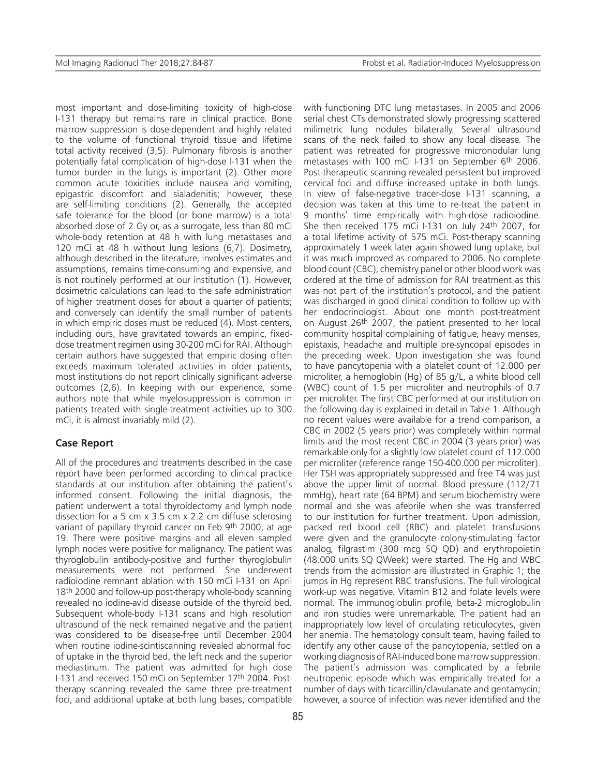most important and dose-limiting toxicity of high-dose I-131 therapy but remains rare in clinical practice. Bone marrow suppression is dose-dependent and highly related to the volume of functional thyroid tissue and lifetime total activity received (3,5). Pulmonary fibrosis is another potentially fatal complication of high-dose I-131 when the tumor burden in the lungs is important (2). Other more common acute toxicities include nausea and vomiting, epigastric discomfort and sialadenitis; however, these are self-limiting conditions (2). Generally, the accepted safe tolerance for the blood (or bone marrow) is a total absorbed dose of 2 Gy or, as a surrogate, less than 80 mCi whole-body retention at 48 h with lung metastases and 120 mCi at 48 h without lung lesions (6,7). Dosimetry, although described in the literature, involves estimates and assumptions, remains time-consuming and expensive, and is not routinely performed at our institution (1). However, dosimetric calculations can lead to the safe administration of higher treatment doses for about a quarter of patients; and conversely can identify the small number of patients in which empiric doses must be reduced (4). Most centers, including ours, have gravitated towards an empiric, fixeddose treatment regimen using 30-200 mCi for RAI. Although certain authors have suggested that empiric dosing often exceeds maximum tolerated activities in older patients, most institutions do not report clinically significant adverse outcomes (2,6). In keeping with our experience, some authors note that while myelosuppression is common in patients treated with single-treatment activities up to 300 mCi, it is almost invariably mild (2).

#### **Case Report**

All of the procedures and treatments described in the case report have been performed according to clinical practice standards at our institution after obtaining the patient's informed consent. Following the initial diagnosis, the patient underwent a total thyroidectomy and lymph node dissection for a 5 cm x 3.5 cm x 2.2 cm diffuse sclerosing variant of papillary thyroid cancer on Feb 9th 2000, at age 19. There were positive margins and all eleven sampled lymph nodes were positive for malignancy. The patient was thyroglobulin antibody-positive and further thyroglobulin measurements were not performed. She underwent radioiodine remnant ablation with 150 mCi I-131 on April 18th 2000 and follow-up post-therapy whole-body scanning revealed no iodine-avid disease outside of the thyroid bed. Subsequent whole-body I-131 scans and high resolution ultrasound of the neck remained negative and the patient was considered to be disease-free until December 2004 when routine iodine-scintiscanning revealed abnormal foci of uptake in the thyroid bed, the left neck and the superior mediastinum. The patient was admitted for high dose I-131 and received 150 mCi on September 17th 2004. Posttherapy scanning revealed the same three pre-treatment foci, and additional uptake at both lung bases, compatible

85

with functioning DTC lung metastases. In 2005 and 2006 serial chest CTs demonstrated slowly progressing scattered milimetric lung nodules bilaterally. Several ultrasound scans of the neck failed to show any local disease. The patient was retreated for progressive micronodular lung metastases with 100 mCi I-131 on September 6th 2006. Post-therapeutic scanning revealed persistent but improved cervical foci and diffuse increased uptake in both lungs. In view of false-negative tracer-dose I-131 scanning, a decision was taken at this time to re-treat the patient in 9 months' time empirically with high-dose radioiodine. She then received 175 mCi I-131 on July 24th 2007, for a total lifetime activity of 575 mCi. Post-therapy scanning approximately 1 week later again showed lung uptake, but it was much improved as compared to 2006. No complete blood count (CBC), chemistry panel or other blood work was ordered at the time of admission for RAI treatment as this was not part of the institution's protocol, and the patient was discharged in good clinical condition to follow up with her endocrinologist. About one month post-treatment on August 26th 2007, the patient presented to her local community hospital complaining of fatigue, heavy menses, epistaxis, headache and multiple pre-syncopal episodes in the preceding week. Upon investigation she was found to have pancytopenia with a platelet count of 12.000 per microliter, a hemoglobin (Hg) of 85 g/L, a white blood cell (WBC) count of 1.5 per microliter and neutrophils of 0.7 per microliter. The first CBC performed at our institution on the following day is explained in detail in Table 1. Although no recent values were available for a trend comparison, a CBC in 2002 (5 years prior) was completely within normal limits and the most recent CBC in 2004 (3 years prior) was remarkable only for a slightly low platelet count of 112.000 per microliter (reference range 150-400.000 per microliter). Her TSH was appropriately suppressed and free T4 was just above the upper limit of normal. Blood pressure (112/71 mmHg), heart rate (64 BPM) and serum biochemistry were normal and she was afebrile when she was transferred to our institution for further treatment. Upon admission, packed red blood cell (RBC) and platelet transfusions were given and the granulocyte colony-stimulating factor analog, filgrastim (300 mcg SQ QD) and erythropoietin (48.000 units SQ QWeek) were started. The Hg and WBC trends from the admission are illustrated in Graphic 1; the jumps in Hg represent RBC transfusions. The full virological work-up was negative. Vitamin B12 and folate levels were normal. The immunoglobulin profile, beta-2 microglobulin and iron studies were unremarkable. The patient had an inappropriately low level of circulating reticulocytes, given her anemia. The hematology consult team, having failed to identify any other cause of the pancytopenia, settled on a working diagnosis of RAI-induced bone marrow suppression. The patient's admission was complicated by a febrile neutropenic episode which was empirically treated for a number of days with ticarcillin/clavulanate and gentamycin; however, a source of infection was never identified and the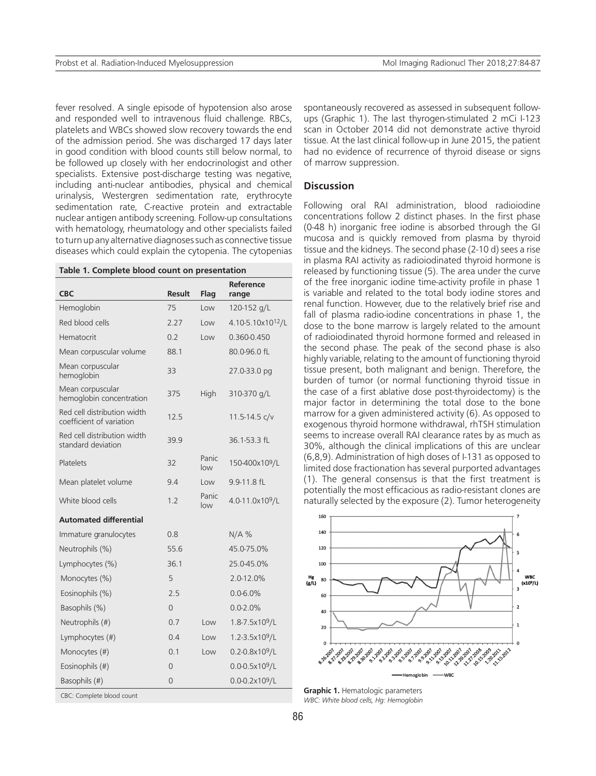fever resolved. A single episode of hypotension also arose and responded well to intravenous fluid challenge. RBCs, platelets and WBCs showed slow recovery towards the end of the admission period. She was discharged 17 days later in good condition with blood counts still below normal, to be followed up closely with her endocrinologist and other specialists. Extensive post-discharge testing was negative, including anti-nuclear antibodies, physical and chemical urinalysis, Westergren sedimentation rate, erythrocyte sedimentation rate, C-reactive protein and extractable nuclear antigen antibody screening. Follow-up consultations with hematology, rheumatology and other specialists failed to turn up any alternative diagnoses such as connective tissue diseases which could explain the cytopenia. The cytopenias

| Table 1. Complete blood count on presentation |
|-----------------------------------------------|
|-----------------------------------------------|

|                                                         |                |              | Reference                     | of the free inorganic iodine ti                                                                      |
|---------------------------------------------------------|----------------|--------------|-------------------------------|------------------------------------------------------------------------------------------------------|
| <b>CBC</b>                                              | <b>Result</b>  | Flag         | range                         | is variable and related to the                                                                       |
| Hemoglobin                                              | 75             | Low          | 120-152 g/L                   | renal function. However, due<br>fall of plasma radio-iodine co                                       |
| Red blood cells                                         | 2.27           | Low          | 4.10-5.10x10 <sup>12</sup> /L | dose to the bone marrow is I                                                                         |
| Hematocrit                                              | 0.2            | Low          | 0.360-0.450                   | of radioiodinated thyroid horr                                                                       |
| Mean corpuscular volume                                 | 88.1           |              | 80.0-96.0 fL                  | the second phase. The peak<br>highly variable, relating to the                                       |
| Mean corpuscular<br>hemoglobin                          | 33             |              | 27.0-33.0 pg                  | tissue present, both malignar<br>burden of tumor (or normal                                          |
| Mean corpuscular<br>hemoglobin concentration            | 375            | High         | 310-370 g/L                   | the case of a first ablative do<br>major factor in determining                                       |
| Red cell distribution width<br>coefficient of variation | 12.5           |              | 11.5-14.5 c/v                 | marrow for a given administer<br>exogenous thyroid hormone v                                         |
| Red cell distribution width<br>standard deviation       | 39.9           |              | 36.1-53.3 fL                  | seems to increase overall RAI<br>30%, although the clinical im                                       |
| Platelets                                               | 32             | Panic<br>low | 150-400x10 <sup>9</sup> /L    | (6,8,9). Administration of high<br>limited dose fractionation has                                    |
| Mean platelet volume                                    | 9.4            | Low          | 9.9-11.8 fL                   | (1). The general consensus i                                                                         |
| White blood cells                                       | 1.2            | Panic<br>low | 4.0-11.0x10 <sup>9</sup> /L   | potentially the most efficaciou<br>naturally selected by the expo:                                   |
| <b>Automated differential</b>                           |                |              |                               | 160                                                                                                  |
| Immature granulocytes                                   | 0.8            |              | N/A%                          | 140                                                                                                  |
| Neutrophils (%)                                         | 55.6           |              | 45.0-75.0%                    | 120                                                                                                  |
| Lymphocytes (%)                                         | 36.1           |              | 25.0-45.0%                    | 100                                                                                                  |
| Monocytes (%)                                           | 5              |              | 2.0-12.0%                     | Hg<br>(g/L)<br>80                                                                                    |
| Eosinophils (%)                                         | 2.5            |              | $0.0 - 6.0%$                  | 60                                                                                                   |
| Basophils (%)                                           | $\overline{0}$ |              | $0.0 - 2.0%$                  | 40                                                                                                   |
| Neutrophils (#)                                         | 0.7            | Low          | 1.8-7.5x10 <sup>9</sup> /L    | 20                                                                                                   |
| Lymphocytes (#)                                         | 0.4            | Low          | 1.2-3.5x10 <sup>9</sup> /L    |                                                                                                      |
| Monocytes (#)                                           | 0.1            | Low          | $0.2 - 0.8 \times 10^9 / L$   | 427.2007<br>5.28.2007<br>1.29.2007<br>1.302007<br>9.12007<br>9.22007<br>3.32007<br>9.52007<br>9.7200 |
| Eosinophils (#)                                         | $\overline{0}$ |              | $0.0 - 0.5 \times 10^9$ /L    |                                                                                                      |
| Basophils (#)                                           | 0              |              | $0.0 - 0.2 \times 10^9 / L$   | Hemoglol                                                                                             |
| CBC: Complete blood count                               |                |              |                               | Graphic 1. Hematologic parameters                                                                    |

spontaneously recovered as assessed in subsequent followups (Graphic 1). The last thyrogen-stimulated 2 mCi I-123 scan in October 2014 did not demonstrate active thyroid tissue. At the last clinical follow-up in June 2015, the patient had no evidence of recurrence of thyroid disease or signs of marrow suppression.

### **Discussion**

Following oral RAI administration, blood radioiodine concentrations follow 2 distinct phases. In the first phase (0-48 h) inorganic free iodine is absorbed through the GI mucosa and is quickly removed from plasma by thyroid tissue and the kidneys. The second phase (2-10 d) sees a rise in plasma RAI activity as radioiodinated thyroid hormone is released by functioning tissue (5). The area under the curve of the free inorganic iodine time-activity profile in phase 1 is variable and related to the total body iodine stores and renal function. However, due to the relatively brief rise and fall of plasma radio-iodine concentrations in phase 1, the dose to the bone marrow is largely related to the amount of radioiodinated thyroid hormone formed and released in the second phase. The peak of the second phase is also highly variable, relating to the amount of functioning thyroid tissue present, both malignant and benign. Therefore, the burden of tumor (or normal functioning thyroid tissue in the case of a first ablative dose post-thyroidectomy) is the major factor in determining the total dose to the bone marrow for a given administered activity (6). As opposed to exogenous thyroid hormone withdrawal, rhTSH stimulation seems to increase overall RAI clearance rates by as much as 30%, although the clinical implications of this are unclear (6,8,9). Administration of high doses of I-131 as opposed to limited dose fractionation has several purported advantages (1). The general consensus is that the first treatment is potentially the most efficacious as radio-resistant clones are naturally selected by the exposure (2). Tumor heterogeneity



*WBC: White blood cells, Hg: Hemoglobin*